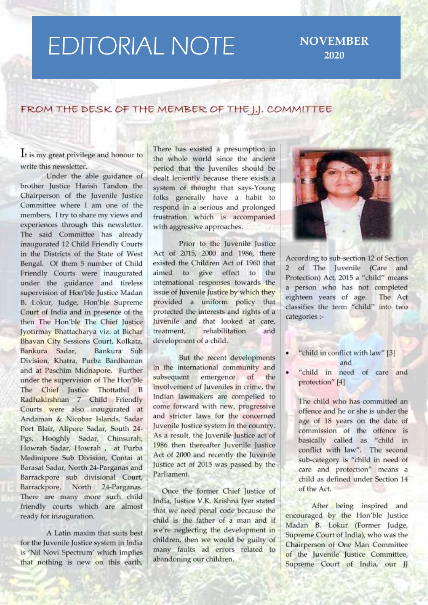## **EDITORIAL NOTE**

**NOVEMBER** 2020

## FROM THE DESK OF THE MEMBER OF THE I.J. COMMITTEE

It is my great privilege and honour to write this newsletter.

Under the able guidance of brother Justice Harish Tandon the Chairperson of the Juvenile Justice Committee where I am one of the members, I try to share my views and experiences through this newsletter. The said Committee has already inaugurated 12 Child Friendly Courts in the Districts of the State of West Bengal. Of them 5 number of Child Friendly Courts were inaugurated under the guidance and tireless supervision of Hon'ble Justice Madan B. Lokur, Judge, Hon'ble Supreme Court of India and in presence of the then The Hon'ble The Chief Justice Jyotirmay Bhattacharya viz. at Bichar Bhavan City Sessions Court, Kolkata, Bankura Sadar, Bankura Sub Division, Khatra, Purba Bardhaman and at Paschim Midnapore. Further under the supervision of The Hon'ble The Chief Justice Thottathil B Radhakirshnan 7 Child Friendly Courts were also inaugurated at Andaman & Nicobar Islands, Sadar Port Blair, Alipore Sadar, South 24-Pgs, Hooghly Sadar, Chinsurah, Howrah Sadar, Howrah, at Purba Medinipore Sub Division, Contai at Barasat Sadar, North 24-Parganas and Barrackpore sub divisional Court, Barrackpore, North 24-Parganas. There are many more such child friendly courts which are almost ready for inauguration.

A Latin maxim that suits best for the Juvenile Justice system in India is 'Nil Novi Spectrum' which implies that nothing is new on this earth. There has existed a presumption in the whole world since the ancient period that the luveniles should be dealt leniently because there exists a system of thought that says-Young folks generally have a habit to respond in a serious and prolonged frustration which is accompanied with aggressive approaches.

Prior to the Juvenile Justice Act of 2015, 2000 and 1986, there existed the Children Act of 1960 that aimed to give effect to the international responses towards the issue of Juvenile Justice by which they provided a uniform policy that protected the interests and rights of a Iuvenile and that looked at care. treatment. rehabilitation and development of a child.

But the recent developments in the international community and subsequent emergence of. the involvement of Juveniles in crime, the Indian lawmakers are compelled to come forward with new, progressive and stricter laws for the concerned Juvenile Justice system in the country. As a result, the Juvenile Justice act of 1986 then thereafter Juvenile Justice Act of 2000 and recently the Juvenile Justice act of 2015 was passed by the Parliament.

Once the former Chief Justice of India, Justice V.K. Krishna Iver stated that we need penal code because the child is the father of a man and if we're neglecting the development in children, then we would be guilty of many faults ad errors related to abandoning our children.



According to sub-section 12 of Section 2 of The Juvenile (Care and Protection) Act, 2015 a "child" means a person who has not completed eighteen years of age. The Act classifies the term "child" into two categories :-

- "child in conflict with law" [3] and
- "child in need of care and  $\bullet$ protection" [4]

The child who has committed an offence and he or she is under the age of 18 years on the date of commission of the offence is basically called as "child in conflict with law". The second sub-category is "child in need of care and protection" means a child as defined under Section 14 of the Act.

After being inspired and encouraged by the Hon'ble Justice Madan B. Lokur (Former Judge, Supreme Court of India), who was the Chairperson of One Man Committee of the Juvenile Justice Committee, Supreme Court of India, our JJ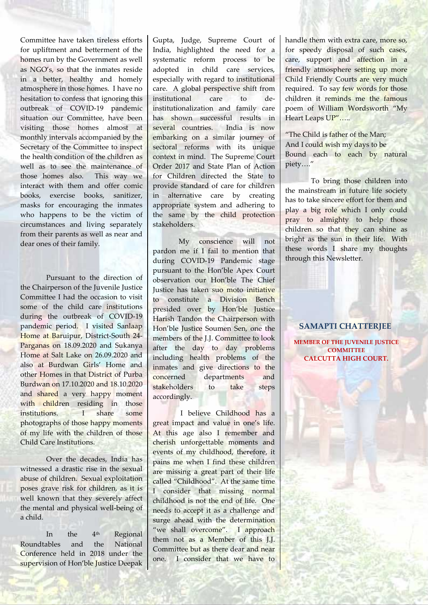Committee have taken tireless efforts for upliftment and betterment of the homes run by the Government as well as NGO's, so that the inmates reside in a better, healthy and homely atmosphere in those homes. I have no hesitation to confess that ignoring this outbreak of COVID-19 pandemic situation our Committee, have been visiting those homes almost at monthly intervals accompanied by the Secretary of the Committee to inspect the health condition of the children as well as to see the maintenance of those homes also. This way we interact with them and offer comic books, exercise books, sanitizer, masks for encouraging the inmates who happens to be the victim of circumstances and living separately from their parents as well as near and dear ones of their family.

Pursuant to the direction of the Chairperson of the Juvenile Justice Committee I had the occasion to visit some of the child care institutions during the outbreak of COVID-19 pandemic period. I visited Sanlaap Home at Baruipur, District-South 24- Parganas on 18.09.2020 and Sukanya Home at Salt Lake on 26.09.2020 and also at Burdwan Girls' Home and other Homes in that District of Purba concerned Burdwan on 17.10.2020 and 18.10.2020 and shared a very happy moment with children residing in those institutions. I share some photographs of those happy moments of my life with the children of those Child Care Institutions.

Over the decades, India has witnessed a drastic rise in the sexual abuse of children. Sexual exploitation poses grave risk for children, as it is well known that they severely affect the mental and physical well-being of a child.

In the 4th Regional Roundtables and the National Conference held in 2018 under the supervision of Hon'ble Justice Deepak Gupta, Judge, Supreme Court of India, highlighted the need for a systematic reform process to be adopted in child care services, especially with regard to institutional care. A global perspective shift from institutional care to deinstitutionalization and family care has shown successful results in several countries. India is now embarking on a similar journey of sectoral reforms with its unique context in mind. The Supreme Court Order 2017 and State Plan of Action for Children directed the State to provide standard of care for children in alternative care by creating appropriate system and adhering to the same by the child protection stakeholders.

My conscience will not pardon me if I fail to mention that during COVID-19 Pandemic stage pursuant to the Hon'ble Apex Court observation our Hon'ble The Chief Justice has taken suo moto initiative to constitute a Division Bench presided over by Hon'ble Justice Harish Tandon the Chairperson with Hon'ble Justice Soumen Sen, one the members of the J.J. Committee to look after the day to day problems including health problems of the inmates and give directions to the departments and stakeholders to take steps accordingly.

I believe Childhood has a great impact and value in one's life. At this age also I remember and cherish unforgettable moments and events of my childhood, therefore, it pains me when I find these children are missing a great part of their life called "Childhood". At the same time I consider that missing normal childhood is not the end of life. One needs to accept it as a challenge and surge ahead with the determination "we shall overcome". I approach them not as a Member of this J.J. Committee but as there dear and near one. I consider that we have to

handle them with extra care, more so, for speedy disposal of such cases, care, support and affection in a friendly atmosphere setting up more Child Friendly Courts are very much required. To say few words for those children it reminds me the famous poem of William Wordsworth "My Heart Leaps UP".....

"The Child is father of the Man: And I could wish my days to be Bound each to each by natural piety…."

To bring those children into the mainstream in future life society has to take sincere effort for them and play a big role which I only could pray to almighty to help those children so that they can shine as bright as the sun in their life. With these words I share my thoughts through this Newsletter.

## **SAMAPTI CHATTERJEE**

**MEMBER OF THE JUVENILE JUSTICE COMMITTEE CALCUTTA HIGH COURT.**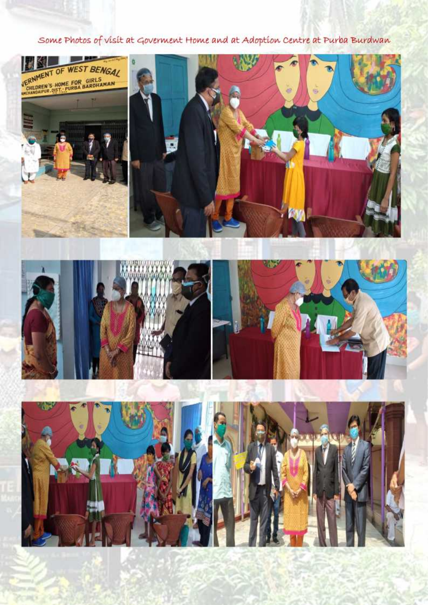Some Photos of visit at Goverment Home and at Adoption Centre at Purba Burdwan